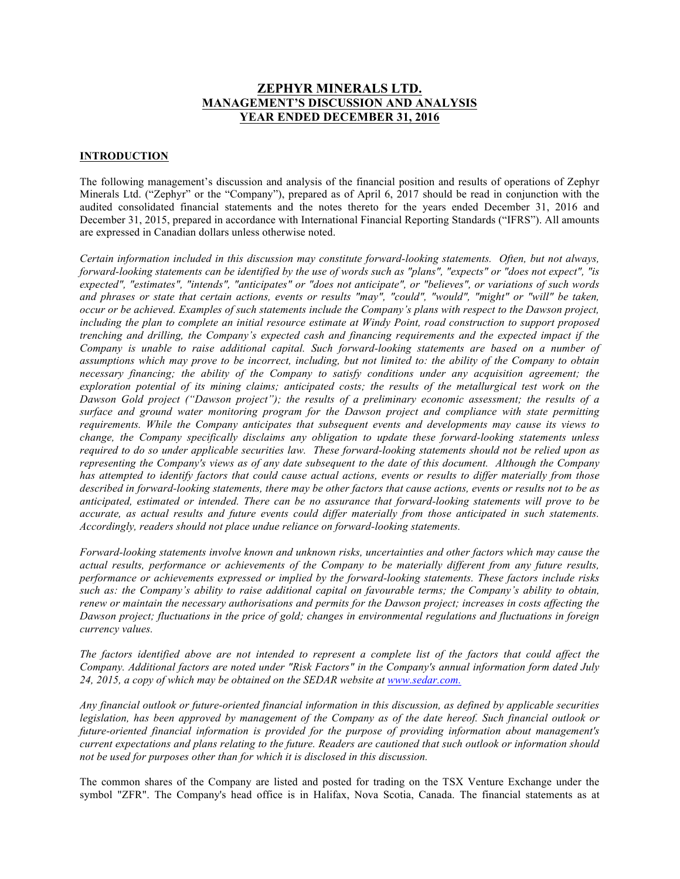# **ZEPHYR MINERALS LTD. MANAGEMENT'S DISCUSSION AND ANALYSIS YEAR ENDED DECEMBER 31, 2016**

#### **INTRODUCTION**

The following management's discussion and analysis of the financial position and results of operations of Zephyr Minerals Ltd. ("Zephyr" or the "Company"), prepared as of April 6, 2017 should be read in conjunction with the audited consolidated financial statements and the notes thereto for the years ended December 31, 2016 and December 31, 2015, prepared in accordance with International Financial Reporting Standards ("IFRS"). All amounts are expressed in Canadian dollars unless otherwise noted.

*Certain information included in this discussion may constitute forward-looking statements. Often, but not always, forward-looking statements can be identified by the use of words such as "plans", "expects" or "does not expect", "is expected", "estimates", "intends", "anticipates" or "does not anticipate", or "believes", or variations of such words and phrases or state that certain actions, events or results "may", "could", "would", "might" or "will" be taken, occur or be achieved. Examples of such statements include the Company's plans with respect to the Dawson project,*  including the plan to complete an initial resource estimate at Windy Point, road construction to support proposed *trenching and drilling, the Company's expected cash and financing requirements and the expected impact if the Company is unable to raise additional capital. Such forward-looking statements are based on a number of assumptions which may prove to be incorrect, including, but not limited to: the ability of the Company to obtain necessary financing; the ability of the Company to satisfy conditions under any acquisition agreement; the exploration potential of its mining claims; anticipated costs; the results of the metallurgical test work on the Dawson Gold project ("Dawson project"); the results of a preliminary economic assessment; the results of a surface and ground water monitoring program for the Dawson project and compliance with state permitting requirements. While the Company anticipates that subsequent events and developments may cause its views to change, the Company specifically disclaims any obligation to update these forward-looking statements unless required to do so under applicable securities law. These forward-looking statements should not be relied upon as representing the Company's views as of any date subsequent to the date of this document. Although the Company has attempted to identify factors that could cause actual actions, events or results to differ materially from those described in forward-looking statements, there may be other factors that cause actions, events or results not to be as anticipated, estimated or intended. There can be no assurance that forward-looking statements will prove to be accurate, as actual results and future events could differ materially from those anticipated in such statements. Accordingly, readers should not place undue reliance on forward-looking statements.*

*Forward-looking statements involve known and unknown risks, uncertainties and other factors which may cause the actual results, performance or achievements of the Company to be materially different from any future results, performance or achievements expressed or implied by the forward-looking statements. These factors include risks such as: the Company's ability to raise additional capital on favourable terms; the Company's ability to obtain, renew or maintain the necessary authorisations and permits for the Dawson project; increases in costs affecting the Dawson project; fluctuations in the price of gold; changes in environmental regulations and fluctuations in foreign currency values.*

The factors identified above are not intended to represent a complete list of the factors that could affect the *Company. Additional factors are noted under "Risk Factors" in the Company's annual information form dated July 24, 2015, a copy of which may be obtained on the SEDAR website at www.sedar.com.*

*Any financial outlook or future-oriented financial information in this discussion, as defined by applicable securities legislation, has been approved by management of the Company as of the date hereof. Such financial outlook or future-oriented financial information is provided for the purpose of providing information about management's current expectations and plans relating to the future. Readers are cautioned that such outlook or information should not be used for purposes other than for which it is disclosed in this discussion.*

The common shares of the Company are listed and posted for trading on the TSX Venture Exchange under the symbol "ZFR". The Company's head office is in Halifax, Nova Scotia, Canada. The financial statements as at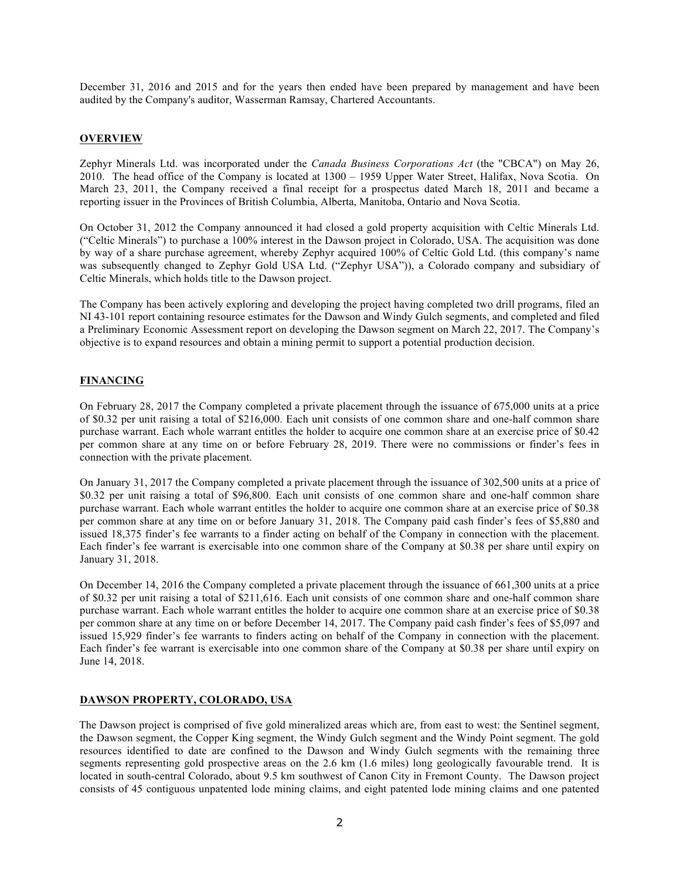December 31, 2016 and 2015 and for the years then ended have been prepared by management and have been audited by the Company's auditor, Wasserman Ramsay, Chartered Accountants.

# **OVERVIEW**

Zephyr Minerals Ltd. was incorporated under the *Canada Business Corporations Act* (the "CBCA") on May 26, 2010. The head office of the Company is located at 1300 – 1959 Upper Water Street, Halifax, Nova Scotia. On March 23, 2011, the Company received a final receipt for a prospectus dated March 18, 2011 and became a reporting issuer in the Provinces of British Columbia, Alberta, Manitoba, Ontario and Nova Scotia.

On October 31, 2012 the Company announced it had closed a gold property acquisition with Celtic Minerals Ltd. ("Celtic Minerals") to purchase a 100% interest in the Dawson project in Colorado, USA. The acquisition was done by way of a share purchase agreement, whereby Zephyr acquired 100% of Celtic Gold Ltd. (this company's name was subsequently changed to Zephyr Gold USA Ltd. ("Zephyr USA")), a Colorado company and subsidiary of Celtic Minerals, which holds title to the Dawson project.

The Company has been actively exploring and developing the project having completed two drill programs, filed an NI 43-101 report containing resource estimates for the Dawson and Windy Gulch segments, and completed and filed a Preliminary Economic Assessment report on developing the Dawson segment on March 22, 2017. The Company's objective is to expand resources and obtain a mining permit to support a potential production decision.

### **FINANCING**

On February 28, 2017 the Company completed a private placement through the issuance of 675,000 units at a price of \$0.32 per unit raising a total of \$216,000. Each unit consists of one common share and one-half common share purchase warrant. Each whole warrant entitles the holder to acquire one common share at an exercise price of \$0.42 per common share at any time on or before February 28, 2019. There were no commissions or finder's fees in connection with the private placement.

On January 31, 2017 the Company completed a private placement through the issuance of 302,500 units at a price of \$0.32 per unit raising a total of \$96,800. Each unit consists of one common share and one-half common share purchase warrant. Each whole warrant entitles the holder to acquire one common share at an exercise price of \$0.38 per common share at any time on or before January 31, 2018. The Company paid cash finder's fees of \$5,880 and issued 18,375 finder's fee warrants to a finder acting on behalf of the Company in connection with the placement. Each finder's fee warrant is exercisable into one common share of the Company at \$0.38 per share until expiry on January 31, 2018.

On December 14, 2016 the Company completed a private placement through the issuance of 661,300 units at a price of \$0.32 per unit raising a total of \$211,616. Each unit consists of one common share and one-half common share purchase warrant. Each whole warrant entitles the holder to acquire one common share at an exercise price of \$0.38 per common share at any time on or before December 14, 2017. The Company paid cash finder's fees of \$5,097 and issued 15,929 finder's fee warrants to finders acting on behalf of the Company in connection with the placement. Each finder's fee warrant is exercisable into one common share of the Company at \$0.38 per share until expiry on June 14, 2018.

# **DAWSON PROPERTY, COLORADO, USA**

The Dawson project is comprised of five gold mineralized areas which are, from east to west: the Sentinel segment, the Dawson segment, the Copper King segment, the Windy Gulch segment and the Windy Point segment. The gold resources identified to date are confined to the Dawson and Windy Gulch segments with the remaining three segments representing gold prospective areas on the 2.6 km (1.6 miles) long geologically favourable trend. It is located in south-central Colorado, about 9.5 km southwest of Canon City in Fremont County. The Dawson project consists of 45 contiguous unpatented lode mining claims, and eight patented lode mining claims and one patented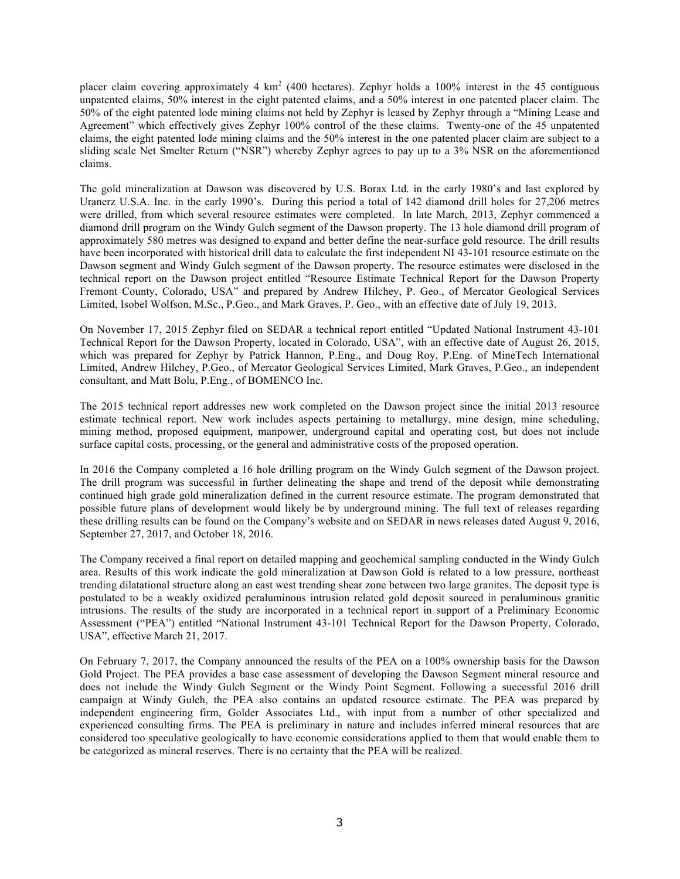placer claim covering approximately 4  $km^2$  (400 hectares). Zephyr holds a 100% interest in the 45 contiguous unpatented claims, 50% interest in the eight patented claims, and a 50% interest in one patented placer claim. The 50% of the eight patented lode mining claims not held by Zephyr is leased by Zephyr through a "Mining Lease and Agreement" which effectively gives Zephyr 100% control of the these claims. Twenty-one of the 45 unpatented claims, the eight patented lode mining claims and the 50% interest in the one patented placer claim are subject to a sliding scale Net Smelter Return ("NSR") whereby Zephyr agrees to pay up to a 3% NSR on the aforementioned claims.

The gold mineralization at Dawson was discovered by U.S. Borax Ltd. in the early 1980's and last explored by Uranerz U.S.A. Inc. in the early 1990's. During this period a total of 142 diamond drill holes for 27,206 metres were drilled, from which several resource estimates were completed. In late March, 2013, Zephyr commenced a diamond drill program on the Windy Gulch segment of the Dawson property. The 13 hole diamond drill program of approximately 580 metres was designed to expand and better define the near-surface gold resource. The drill results have been incorporated with historical drill data to calculate the first independent NI 43-101 resource estimate on the Dawson segment and Windy Gulch segment of the Dawson property. The resource estimates were disclosed in the technical report on the Dawson project entitled "Resource Estimate Technical Report for the Dawson Property Fremont County, Colorado, USA" and prepared by Andrew Hilchey, P. Geo., of Mercator Geological Services Limited, Isobel Wolfson, M.Sc., P.Geo., and Mark Graves, P. Geo., with an effective date of July 19, 2013.

On November 17, 2015 Zephyr filed on SEDAR a technical report entitled "Updated National Instrument 43-101 Technical Report for the Dawson Property, located in Colorado, USA", with an effective date of August 26, 2015, which was prepared for Zephyr by Patrick Hannon, P.Eng., and Doug Roy, P.Eng. of MineTech International Limited, Andrew Hilchey, P.Geo., of Mercator Geological Services Limited, Mark Graves, P.Geo., an independent consultant, and Matt Bolu, P.Eng., of BOMENCO Inc.

The 2015 technical report addresses new work completed on the Dawson project since the initial 2013 resource estimate technical report. New work includes aspects pertaining to metallurgy, mine design, mine scheduling, mining method, proposed equipment, manpower, underground capital and operating cost, but does not include surface capital costs, processing, or the general and administrative costs of the proposed operation.

In 2016 the Company completed a 16 hole drilling program on the Windy Gulch segment of the Dawson project. The drill program was successful in further delineating the shape and trend of the deposit while demonstrating continued high grade gold mineralization defined in the current resource estimate. The program demonstrated that possible future plans of development would likely be by underground mining. The full text of releases regarding these drilling results can be found on the Company's website and on SEDAR in news releases dated August 9, 2016, September 27, 2017, and October 18, 2016.

The Company received a final report on detailed mapping and geochemical sampling conducted in the Windy Gulch area. Results of this work indicate the gold mineralization at Dawson Gold is related to a low pressure, northeast trending dilatational structure along an east west trending shear zone between two large granites. The deposit type is postulated to be a weakly oxidized peraluminous intrusion related gold deposit sourced in peraluminous granitic intrusions. The results of the study are incorporated in a technical report in support of a Preliminary Economic Assessment ("PEA") entitled "National Instrument 43-101 Technical Report for the Dawson Property, Colorado, USA", effective March 21, 2017.

On February 7, 2017, the Company announced the results of the PEA on a 100% ownership basis for the Dawson Gold Project. The PEA provides a base case assessment of developing the Dawson Segment mineral resource and does not include the Windy Gulch Segment or the Windy Point Segment. Following a successful 2016 drill campaign at Windy Gulch, the PEA also contains an updated resource estimate. The PEA was prepared by independent engineering firm, Golder Associates Ltd., with input from a number of other specialized and experienced consulting firms. The PEA is preliminary in nature and includes inferred mineral resources that are considered too speculative geologically to have economic considerations applied to them that would enable them to be categorized as mineral reserves. There is no certainty that the PEA will be realized.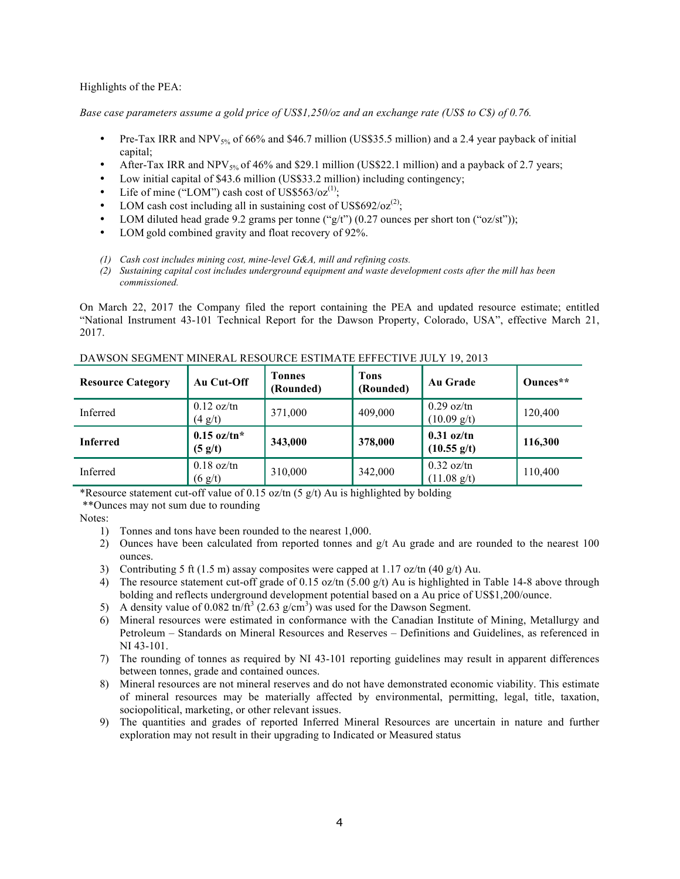Highlights of the PEA:

*Base case parameters assume a gold price of US\$1,250/oz and an exchange rate (US\$ to C\$) of 0.76.*

- Pre-Tax IRR and NPV5% of 66% and \$46.7 million (US\$35.5 million) and a 2.4 year payback of initial capital;
- After-Tax IRR and NPV<sub>5%</sub> of 46% and \$29.1 million (US\$22.1 million) and a payback of 2.7 years;
- Low initial capital of \$43.6 million (US\$33.2 million) including contingency;
- Life of mine ("LOM") cash cost of US\$563/oz<sup>(1)</sup>;
- LOM cash cost including all in sustaining cost of US\$692/oz<sup>(2)</sup>;
- LOM diluted head grade 9.2 grams per tonne (" $g/t$ ") (0.27 ounces per short ton (" $oz/st$ "));
- LOM gold combined gravity and float recovery of 92%.
- *(1) Cash cost includes mining cost, mine-level G&A, mill and refining costs.*
- *(2) Sustaining capital cost includes underground equipment and waste development costs after the mill has been commissioned.*

On March 22, 2017 the Company filed the report containing the PEA and updated resource estimate; entitled "National Instrument 43-101 Technical Report for the Dawson Property, Colorado, USA", effective March 21, 2017.

| <b>Resource Category</b> | Au Cut-Off                             | <b>Tonnes</b><br>(Rounded) | <b>Tons</b><br>(Rounded) | <b>Au Grade</b>                                      | Ounces** |
|--------------------------|----------------------------------------|----------------------------|--------------------------|------------------------------------------------------|----------|
| Inferred                 | $0.12 \text{ oz}/\text{tn}$<br>(4 g/t) | 371,000                    | 409,000                  | $0.29$ oz/tn<br>$(10.09 \text{ g/t})$                | 120,400  |
| <b>Inferred</b>          | $0.15$ oz/tn*<br>(5 g/t)               | 343,000                    | 378,000                  | $0.31$ oz/tn<br>$(10.55 \text{ g/t})$                | 116,300  |
| Inferred                 | $0.18$ oz/tn<br>(6 g/t)                | 310,000                    | 342,000                  | $0.32 \text{ oz}/\text{tn}$<br>$(11.08 \text{ g/t})$ | 110,400  |

#### DAWSON SEGMENT MINERAL RESOURCE ESTIMATE EFFECTIVE JULY 19, 2013

\*Resource statement cut-off value of 0.15 oz/tn  $(5 \text{ g/t})$  Au is highlighted by bolding

\*\*Ounces may not sum due to rounding

Notes:

- 1) Tonnes and tons have been rounded to the nearest 1,000.
- 2) Ounces have been calculated from reported tonnes and  $g/t$  Au grade and are rounded to the nearest 100 ounces.
- 3) Contributing 5 ft (1.5 m) assay composites were capped at 1.17 oz/tn (40 g/t) Au.
- 4) The resource statement cut-off grade of 0.15 oz/tn (5.00 g/t) Au is highlighted in Table 14-8 above through bolding and reflects underground development potential based on a Au price of US\$1,200/ounce.
- 5) A density value of 0.082 tn/ft<sup>3</sup> (2.63 g/cm<sup>3</sup>) was used for the Dawson Segment.
- 6) Mineral resources were estimated in conformance with the Canadian Institute of Mining, Metallurgy and Petroleum – Standards on Mineral Resources and Reserves – Definitions and Guidelines, as referenced in NI 43-101.
- 7) The rounding of tonnes as required by NI 43-101 reporting guidelines may result in apparent differences between tonnes, grade and contained ounces.
- 8) Mineral resources are not mineral reserves and do not have demonstrated economic viability. This estimate of mineral resources may be materially affected by environmental, permitting, legal, title, taxation, sociopolitical, marketing, or other relevant issues.
- 9) The quantities and grades of reported Inferred Mineral Resources are uncertain in nature and further exploration may not result in their upgrading to Indicated or Measured status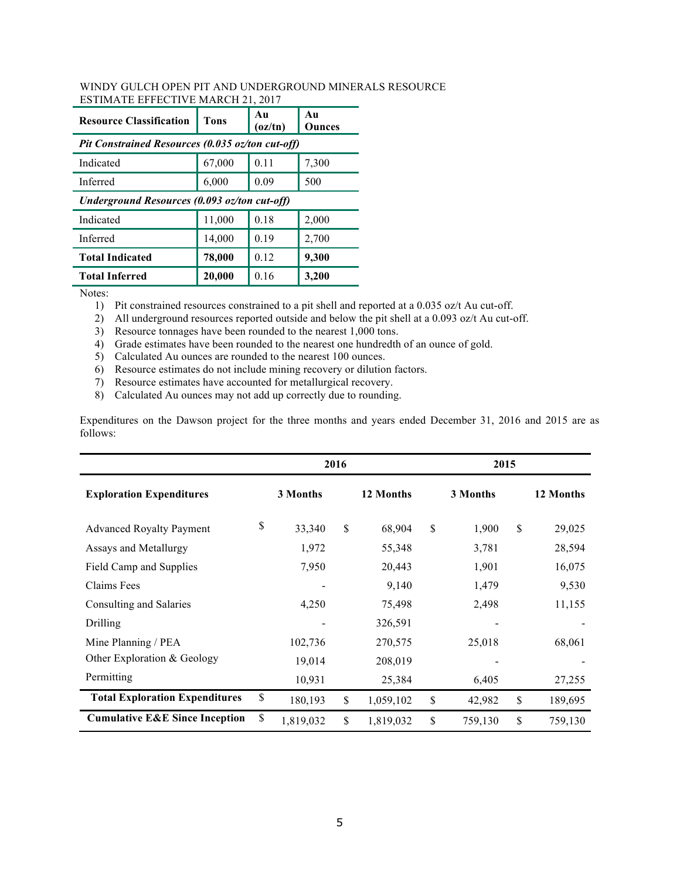| <b>Resource Classification</b>                   | Tons          | Au<br>(oz/tn) | Au<br>Ounces |  |  |  |  |
|--------------------------------------------------|---------------|---------------|--------------|--|--|--|--|
| Pit Constrained Resources (0.035 oz/ton cut-off) |               |               |              |  |  |  |  |
| Indicated                                        | 67,000        | 0.11          | 7,300        |  |  |  |  |
| Inferred                                         | 0.09<br>6,000 |               | 500          |  |  |  |  |
| Underground Resources (0.093 oz/ton cut-off)     |               |               |              |  |  |  |  |
| Indicated                                        | 11,000        | 0.18          | 2,000        |  |  |  |  |
| Inferred                                         | 14,000        | 0.19          | 2,700        |  |  |  |  |
| <b>Total Indicated</b>                           | 78,000        | 0.12          | 9,300        |  |  |  |  |
| <b>Total Inferred</b>                            | 20,000        | 0.16          | 3.200        |  |  |  |  |

#### WINDY GULCH OPEN PIT AND UNDERGROUND MINERALS RESOURCE ESTIMATE EFFECTIVE MARCH 21, 2017

Notes:

1) Pit constrained resources constrained to a pit shell and reported at a 0.035 oz/t Au cut-off.

2) All underground resources reported outside and below the pit shell at a 0.093 oz/t Au cut-off.

3) Resource tonnages have been rounded to the nearest 1,000 tons.

4) Grade estimates have been rounded to the nearest one hundredth of an ounce of gold.

5) Calculated Au ounces are rounded to the nearest 100 ounces.

6) Resource estimates do not include mining recovery or dilution factors.

7) Resource estimates have accounted for metallurgical recovery.

8) Calculated Au ounces may not add up correctly due to rounding.

Expenditures on the Dawson project for the three months and years ended December 31, 2016 and 2015 are as follows:

|                                           | 2016 |           | 2015            |               |    |           |
|-------------------------------------------|------|-----------|-----------------|---------------|----|-----------|
| <b>Exploration Expenditures</b>           |      | 3 Months  | 12 Months       | 3 Months      |    | 12 Months |
| <b>Advanced Royalty Payment</b>           | \$   | 33,340    | \$<br>68,904    | \$<br>1,900   | \$ | 29,025    |
| Assays and Metallurgy                     |      | 1,972     | 55,348          | 3,781         |    | 28,594    |
| Field Camp and Supplies                   |      | 7,950     | 20,443          | 1,901         |    | 16,075    |
| Claims Fees                               |      | ۰         | 9,140           | 1,479         |    | 9,530     |
| Consulting and Salaries                   |      | 4,250     | 75,498          | 2,498         |    | 11,155    |
| Drilling                                  |      |           | 326,591         |               |    |           |
| Mine Planning / PEA                       |      | 102,736   | 270,575         | 25,018        |    | 68,061    |
| Other Exploration & Geology               |      | 19,014    | 208,019         |               |    |           |
| Permitting                                |      | 10,931    | 25,384          | 6,405         |    | 27,255    |
| <b>Total Exploration Expenditures</b>     | $\$$ | 180,193   | \$<br>1,059,102 | \$<br>42,982  | \$ | 189,695   |
| <b>Cumulative E&amp;E Since Inception</b> | \$   | 1,819,032 | \$<br>1,819,032 | \$<br>759,130 | \$ | 759,130   |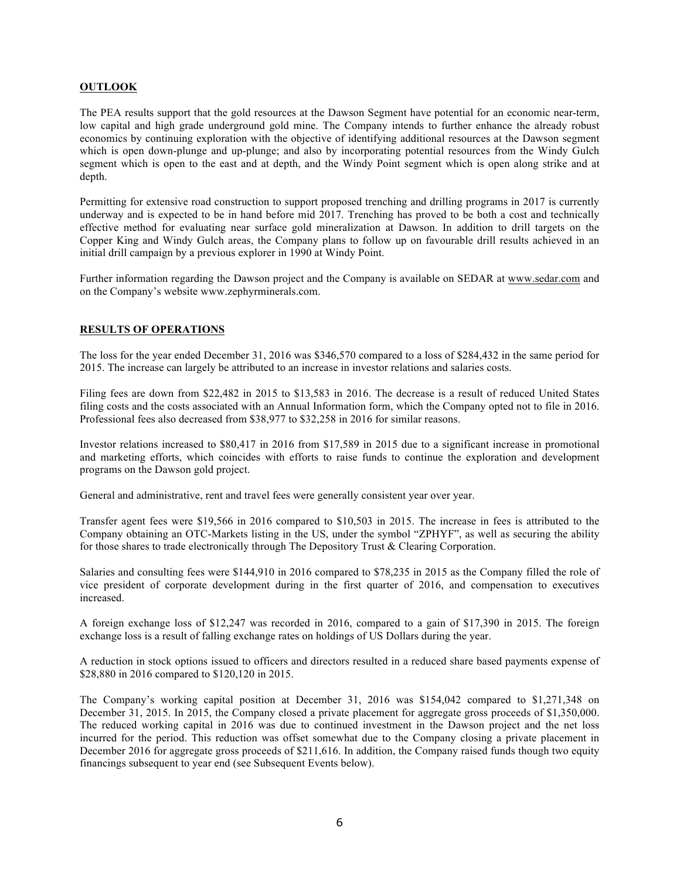#### **OUTLOOK**

The PEA results support that the gold resources at the Dawson Segment have potential for an economic near-term, low capital and high grade underground gold mine. The Company intends to further enhance the already robust economics by continuing exploration with the objective of identifying additional resources at the Dawson segment which is open down-plunge and up-plunge; and also by incorporating potential resources from the Windy Gulch segment which is open to the east and at depth, and the Windy Point segment which is open along strike and at depth.

Permitting for extensive road construction to support proposed trenching and drilling programs in 2017 is currently underway and is expected to be in hand before mid 2017. Trenching has proved to be both a cost and technically effective method for evaluating near surface gold mineralization at Dawson. In addition to drill targets on the Copper King and Windy Gulch areas, the Company plans to follow up on favourable drill results achieved in an initial drill campaign by a previous explorer in 1990 at Windy Point.

Further information regarding the Dawson project and the Company is available on SEDAR at www.sedar.com and on the Company's website www.zephyrminerals.com.

# **RESULTS OF OPERATIONS**

The loss for the year ended December 31, 2016 was \$346,570 compared to a loss of \$284,432 in the same period for 2015. The increase can largely be attributed to an increase in investor relations and salaries costs.

Filing fees are down from \$22,482 in 2015 to \$13,583 in 2016. The decrease is a result of reduced United States filing costs and the costs associated with an Annual Information form, which the Company opted not to file in 2016. Professional fees also decreased from \$38,977 to \$32,258 in 2016 for similar reasons.

Investor relations increased to \$80,417 in 2016 from \$17,589 in 2015 due to a significant increase in promotional and marketing efforts, which coincides with efforts to raise funds to continue the exploration and development programs on the Dawson gold project.

General and administrative, rent and travel fees were generally consistent year over year.

Transfer agent fees were \$19,566 in 2016 compared to \$10,503 in 2015. The increase in fees is attributed to the Company obtaining an OTC-Markets listing in the US, under the symbol "ZPHYF", as well as securing the ability for those shares to trade electronically through The Depository Trust & Clearing Corporation.

Salaries and consulting fees were \$144,910 in 2016 compared to \$78,235 in 2015 as the Company filled the role of vice president of corporate development during in the first quarter of 2016, and compensation to executives increased.

A foreign exchange loss of \$12,247 was recorded in 2016, compared to a gain of \$17,390 in 2015. The foreign exchange loss is a result of falling exchange rates on holdings of US Dollars during the year.

A reduction in stock options issued to officers and directors resulted in a reduced share based payments expense of \$28,880 in 2016 compared to \$120,120 in 2015.

The Company's working capital position at December 31, 2016 was \$154,042 compared to \$1,271,348 on December 31, 2015. In 2015, the Company closed a private placement for aggregate gross proceeds of \$1,350,000. The reduced working capital in 2016 was due to continued investment in the Dawson project and the net loss incurred for the period. This reduction was offset somewhat due to the Company closing a private placement in December 2016 for aggregate gross proceeds of \$211,616. In addition, the Company raised funds though two equity financings subsequent to year end (see Subsequent Events below).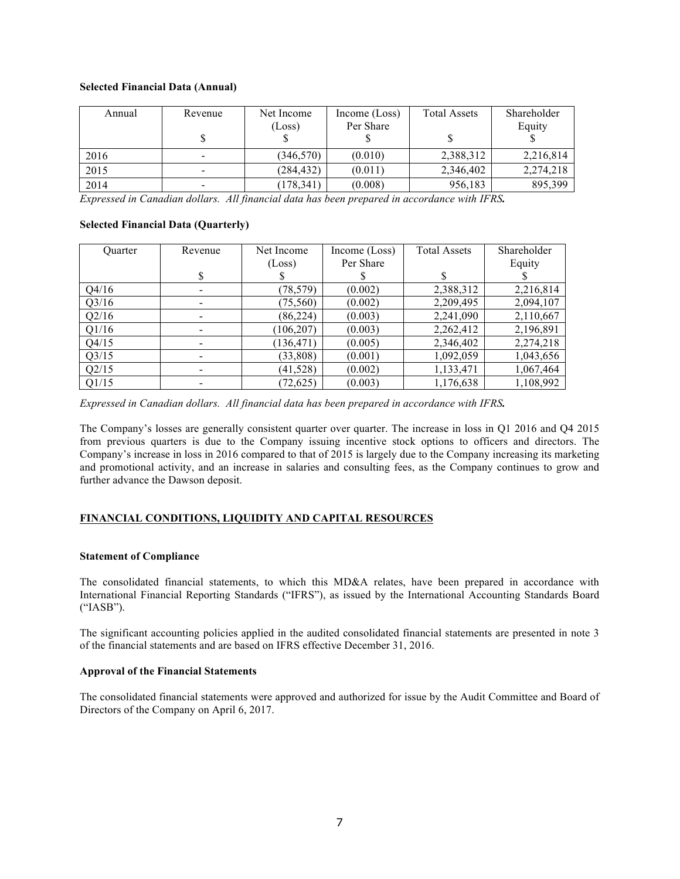### **Selected Financial Data (Annual)**

| Annual | Revenue | Net Income<br>(Loss) | Income $(Loss)$<br>Per Share | <b>Total Assets</b> | Shareholder<br>Equity |
|--------|---------|----------------------|------------------------------|---------------------|-----------------------|
| 2016   |         | (346, 570)           | (0.010)                      | 2,388,312           | 2,216,814             |
| 2015   |         | (284, 432)           | (0.011)                      | 2,346,402           | 2,274,218             |
| 2014   |         | (178, 341)           | (0.008)                      | 956,183             | 895,399               |

*Expressed in Canadian dollars. All financial data has been prepared in accordance with IFRS.*

### **Selected Financial Data (Quarterly)**

| <b>Ouarter</b> | Revenue | Net Income | Income (Loss) | <b>Total Assets</b> | Shareholder |
|----------------|---------|------------|---------------|---------------------|-------------|
|                |         | (Loss)     | Per Share     |                     | Equity      |
|                | S       |            |               | S                   |             |
| Q4/16          |         | (78, 579)  | (0.002)       | 2,388,312           | 2,216,814   |
| Q3/16          |         | (75,560)   | (0.002)       | 2,209,495           | 2,094,107   |
| Q2/16          |         | (86, 224)  | (0.003)       | 2,241,090           | 2,110,667   |
| Q1/16          |         | (106, 207) | (0.003)       | 2,262,412           | 2,196,891   |
| Q4/15          |         | (136, 471) | (0.005)       | 2,346,402           | 2,274,218   |
| Q3/15          |         | (33,808)   | (0.001)       | 1,092,059           | 1,043,656   |
| Q2/15          |         | (41, 528)  | (0.002)       | 1,133,471           | 1,067,464   |
| Q1/15          |         | (72, 625)  | (0.003)       | 1,176,638           | 1,108,992   |

*Expressed in Canadian dollars. All financial data has been prepared in accordance with IFRS.*

The Company's losses are generally consistent quarter over quarter. The increase in loss in Q1 2016 and Q4 2015 from previous quarters is due to the Company issuing incentive stock options to officers and directors. The Company's increase in loss in 2016 compared to that of 2015 is largely due to the Company increasing its marketing and promotional activity, and an increase in salaries and consulting fees, as the Company continues to grow and further advance the Dawson deposit.

# **FINANCIAL CONDITIONS, LIQUIDITY AND CAPITAL RESOURCES**

# **Statement of Compliance**

The consolidated financial statements, to which this MD&A relates, have been prepared in accordance with International Financial Reporting Standards ("IFRS"), as issued by the International Accounting Standards Board ("IASB").

The significant accounting policies applied in the audited consolidated financial statements are presented in note 3 of the financial statements and are based on IFRS effective December 31, 2016.

# **Approval of the Financial Statements**

The consolidated financial statements were approved and authorized for issue by the Audit Committee and Board of Directors of the Company on April 6, 2017.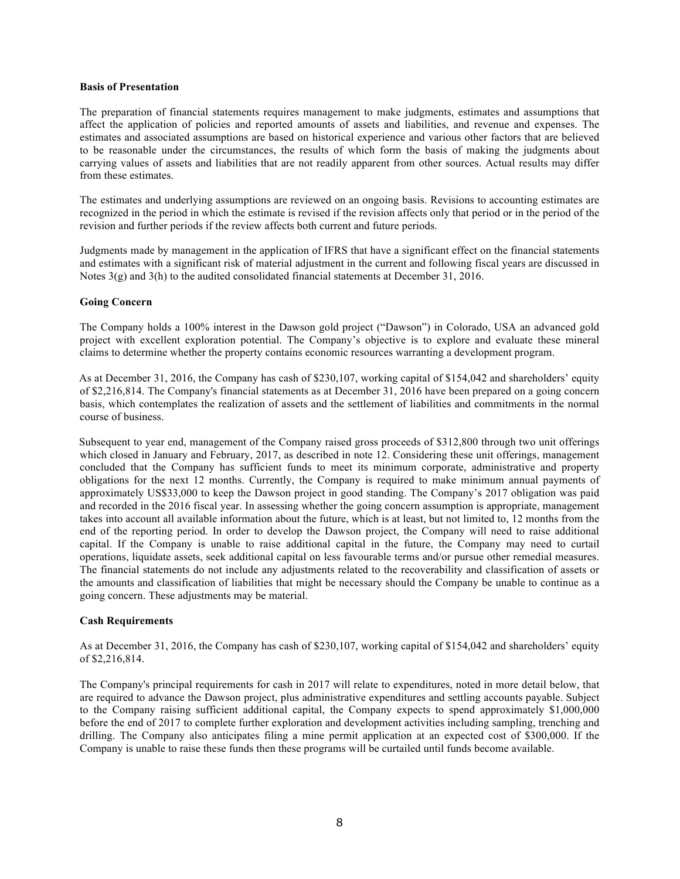#### **Basis of Presentation**

The preparation of financial statements requires management to make judgments, estimates and assumptions that affect the application of policies and reported amounts of assets and liabilities, and revenue and expenses. The estimates and associated assumptions are based on historical experience and various other factors that are believed to be reasonable under the circumstances, the results of which form the basis of making the judgments about carrying values of assets and liabilities that are not readily apparent from other sources. Actual results may differ from these estimates.

The estimates and underlying assumptions are reviewed on an ongoing basis. Revisions to accounting estimates are recognized in the period in which the estimate is revised if the revision affects only that period or in the period of the revision and further periods if the review affects both current and future periods.

Judgments made by management in the application of IFRS that have a significant effect on the financial statements and estimates with a significant risk of material adjustment in the current and following fiscal years are discussed in Notes  $3(g)$  and  $3(h)$  to the audited consolidated financial statements at December 31, 2016.

#### **Going Concern**

The Company holds a 100% interest in the Dawson gold project ("Dawson") in Colorado, USA an advanced gold project with excellent exploration potential. The Company's objective is to explore and evaluate these mineral claims to determine whether the property contains economic resources warranting a development program.

As at December 31, 2016, the Company has cash of \$230,107, working capital of \$154,042 and shareholders' equity of \$2,216,814. The Company's financial statements as at December 31, 2016 have been prepared on a going concern basis, which contemplates the realization of assets and the settlement of liabilities and commitments in the normal course of business.

Subsequent to year end, management of the Company raised gross proceeds of \$312,800 through two unit offerings which closed in January and February, 2017, as described in note 12. Considering these unit offerings, management concluded that the Company has sufficient funds to meet its minimum corporate, administrative and property obligations for the next 12 months. Currently, the Company is required to make minimum annual payments of approximately US\$33,000 to keep the Dawson project in good standing. The Company's 2017 obligation was paid and recorded in the 2016 fiscal year. In assessing whether the going concern assumption is appropriate, management takes into account all available information about the future, which is at least, but not limited to, 12 months from the end of the reporting period. In order to develop the Dawson project, the Company will need to raise additional capital. If the Company is unable to raise additional capital in the future, the Company may need to curtail operations, liquidate assets, seek additional capital on less favourable terms and/or pursue other remedial measures. The financial statements do not include any adjustments related to the recoverability and classification of assets or the amounts and classification of liabilities that might be necessary should the Company be unable to continue as a going concern. These adjustments may be material.

#### **Cash Requirements**

As at December 31, 2016, the Company has cash of \$230,107, working capital of \$154,042 and shareholders' equity of \$2,216,814.

The Company's principal requirements for cash in 2017 will relate to expenditures, noted in more detail below, that are required to advance the Dawson project, plus administrative expenditures and settling accounts payable. Subject to the Company raising sufficient additional capital, the Company expects to spend approximately \$1,000,000 before the end of 2017 to complete further exploration and development activities including sampling, trenching and drilling. The Company also anticipates filing a mine permit application at an expected cost of \$300,000. If the Company is unable to raise these funds then these programs will be curtailed until funds become available.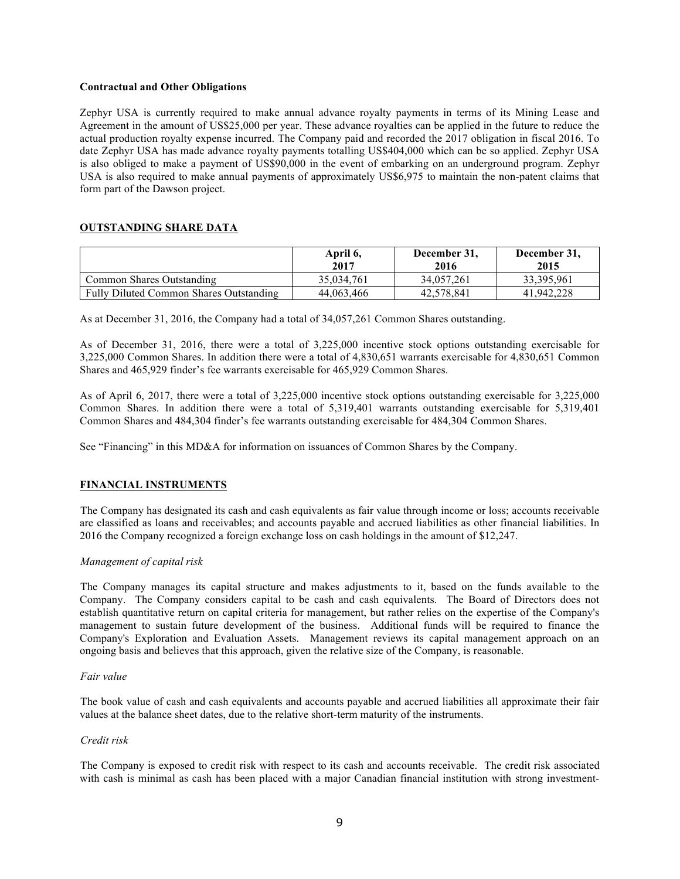#### **Contractual and Other Obligations**

Zephyr USA is currently required to make annual advance royalty payments in terms of its Mining Lease and Agreement in the amount of US\$25,000 per year. These advance royalties can be applied in the future to reduce the actual production royalty expense incurred. The Company paid and recorded the 2017 obligation in fiscal 2016. To date Zephyr USA has made advance royalty payments totalling US\$404,000 which can be so applied. Zephyr USA is also obliged to make a payment of US\$90,000 in the event of embarking on an underground program. Zephyr USA is also required to make annual payments of approximately US\$6,975 to maintain the non-patent claims that form part of the Dawson project.

# **OUTSTANDING SHARE DATA**

|                                         | April 6,<br>2017 | December 31,<br>2016 | December 31,<br>2015 |
|-----------------------------------------|------------------|----------------------|----------------------|
| Common Shares Outstanding               | 35,034,761       | 34,057,261           | 33, 395, 961         |
| Fully Diluted Common Shares Outstanding | 44,063,466       | 42.578.841           | 41.942.228           |

As at December 31, 2016, the Company had a total of 34,057,261 Common Shares outstanding.

As of December 31, 2016, there were a total of 3,225,000 incentive stock options outstanding exercisable for 3,225,000 Common Shares. In addition there were a total of 4,830,651 warrants exercisable for 4,830,651 Common Shares and 465,929 finder's fee warrants exercisable for 465,929 Common Shares.

As of April 6, 2017, there were a total of 3,225,000 incentive stock options outstanding exercisable for 3,225,000 Common Shares. In addition there were a total of 5,319,401 warrants outstanding exercisable for 5,319,401 Common Shares and 484,304 finder's fee warrants outstanding exercisable for 484,304 Common Shares.

See "Financing" in this MD&A for information on issuances of Common Shares by the Company.

# **FINANCIAL INSTRUMENTS**

The Company has designated its cash and cash equivalents as fair value through income or loss; accounts receivable are classified as loans and receivables; and accounts payable and accrued liabilities as other financial liabilities. In 2016 the Company recognized a foreign exchange loss on cash holdings in the amount of \$12,247.

# *Management of capital risk*

The Company manages its capital structure and makes adjustments to it, based on the funds available to the Company. The Company considers capital to be cash and cash equivalents. The Board of Directors does not establish quantitative return on capital criteria for management, but rather relies on the expertise of the Company's management to sustain future development of the business. Additional funds will be required to finance the Company's Exploration and Evaluation Assets. Management reviews its capital management approach on an ongoing basis and believes that this approach, given the relative size of the Company, is reasonable.

#### *Fair value*

The book value of cash and cash equivalents and accounts payable and accrued liabilities all approximate their fair values at the balance sheet dates, due to the relative short-term maturity of the instruments.

#### *Credit risk*

The Company is exposed to credit risk with respect to its cash and accounts receivable. The credit risk associated with cash is minimal as cash has been placed with a major Canadian financial institution with strong investment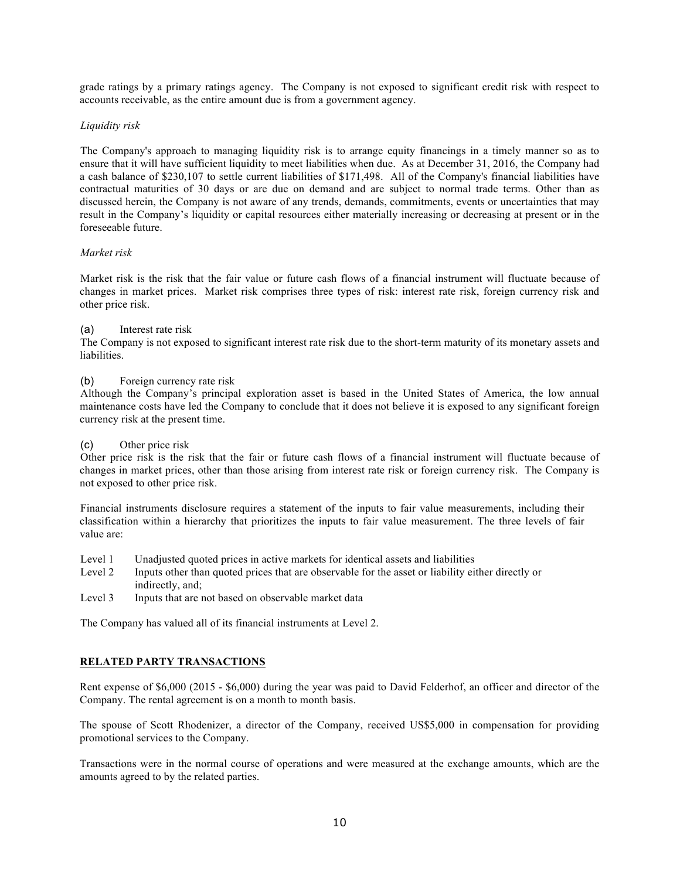grade ratings by a primary ratings agency. The Company is not exposed to significant credit risk with respect to accounts receivable, as the entire amount due is from a government agency.

### *Liquidity risk*

The Company's approach to managing liquidity risk is to arrange equity financings in a timely manner so as to ensure that it will have sufficient liquidity to meet liabilities when due. As at December 31, 2016, the Company had a cash balance of \$230,107 to settle current liabilities of \$171,498. All of the Company's financial liabilities have contractual maturities of 30 days or are due on demand and are subject to normal trade terms. Other than as discussed herein, the Company is not aware of any trends, demands, commitments, events or uncertainties that may result in the Company's liquidity or capital resources either materially increasing or decreasing at present or in the foreseeable future.

### *Market risk*

Market risk is the risk that the fair value or future cash flows of a financial instrument will fluctuate because of changes in market prices. Market risk comprises three types of risk: interest rate risk, foreign currency risk and other price risk.

#### (a) Interest rate risk

The Company is not exposed to significant interest rate risk due to the short-term maturity of its monetary assets and liabilities.

### (b) Foreign currency rate risk

Although the Company's principal exploration asset is based in the United States of America, the low annual maintenance costs have led the Company to conclude that it does not believe it is exposed to any significant foreign currency risk at the present time.

#### (c) Other price risk

Other price risk is the risk that the fair or future cash flows of a financial instrument will fluctuate because of changes in market prices, other than those arising from interest rate risk or foreign currency risk. The Company is not exposed to other price risk.

Financial instruments disclosure requires a statement of the inputs to fair value measurements, including their classification within a hierarchy that prioritizes the inputs to fair value measurement. The three levels of fair value are:

- Level 1 Unadjusted quoted prices in active markets for identical assets and liabilities
- Level 2 Inputs other than quoted prices that are observable for the asset or liability either directly or indirectly, and;
- Level 3 Inputs that are not based on observable market data

The Company has valued all of its financial instruments at Level 2.

# **RELATED PARTY TRANSACTIONS**

Rent expense of \$6,000 (2015 - \$6,000) during the year was paid to David Felderhof, an officer and director of the Company. The rental agreement is on a month to month basis.

The spouse of Scott Rhodenizer, a director of the Company, received US\$5,000 in compensation for providing promotional services to the Company.

Transactions were in the normal course of operations and were measured at the exchange amounts, which are the amounts agreed to by the related parties.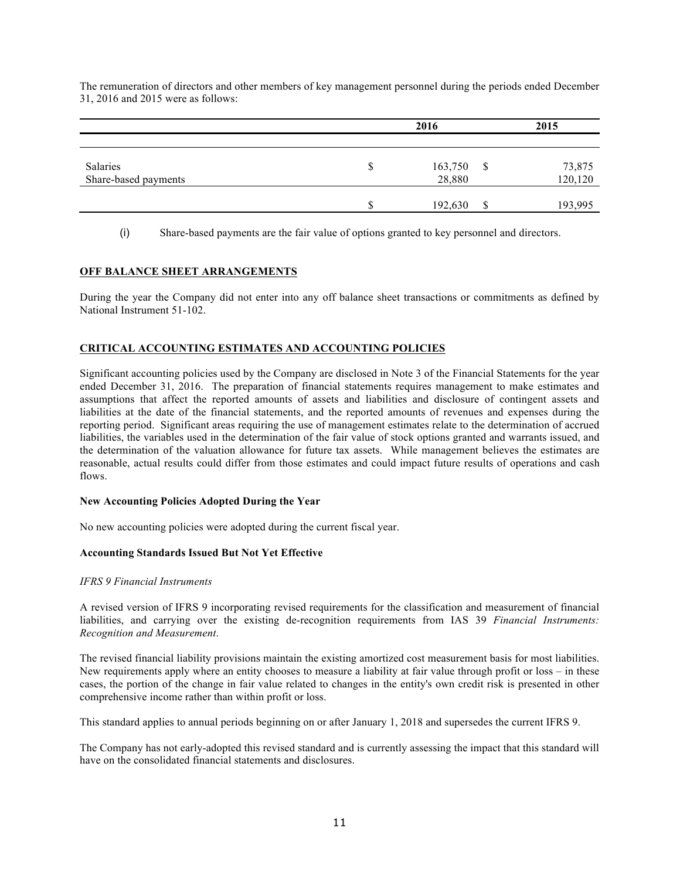The remuneration of directors and other members of key management personnel during the periods ended December 31, 2016 and 2015 were as follows:

|                      | 2016    |    |         |
|----------------------|---------|----|---------|
|                      |         |    |         |
| Salaries             | 163,750 | \$ | 73,875  |
| Share-based payments | 28,880  |    | 120,120 |
|                      | 192,630 | \$ | 193,995 |

(i) Share-based payments are the fair value of options granted to key personnel and directors.

# **OFF BALANCE SHEET ARRANGEMENTS**

During the year the Company did not enter into any off balance sheet transactions or commitments as defined by National Instrument 51-102.

# **CRITICAL ACCOUNTING ESTIMATES AND ACCOUNTING POLICIES**

Significant accounting policies used by the Company are disclosed in Note 3 of the Financial Statements for the year ended December 31, 2016. The preparation of financial statements requires management to make estimates and assumptions that affect the reported amounts of assets and liabilities and disclosure of contingent assets and liabilities at the date of the financial statements, and the reported amounts of revenues and expenses during the reporting period. Significant areas requiring the use of management estimates relate to the determination of accrued liabilities, the variables used in the determination of the fair value of stock options granted and warrants issued, and the determination of the valuation allowance for future tax assets. While management believes the estimates are reasonable, actual results could differ from those estimates and could impact future results of operations and cash flows.

# **New Accounting Policies Adopted During the Year**

No new accounting policies were adopted during the current fiscal year.

# **Accounting Standards Issued But Not Yet Effective**

#### *IFRS 9 Financial Instruments*

A revised version of IFRS 9 incorporating revised requirements for the classification and measurement of financial liabilities, and carrying over the existing de-recognition requirements from IAS 39 *Financial Instruments: Recognition and Measurement*.

The revised financial liability provisions maintain the existing amortized cost measurement basis for most liabilities. New requirements apply where an entity chooses to measure a liability at fair value through profit or loss – in these cases, the portion of the change in fair value related to changes in the entity's own credit risk is presented in other comprehensive income rather than within profit or loss.

This standard applies to annual periods beginning on or after January 1, 2018 and supersedes the current IFRS 9.

The Company has not early-adopted this revised standard and is currently assessing the impact that this standard will have on the consolidated financial statements and disclosures.